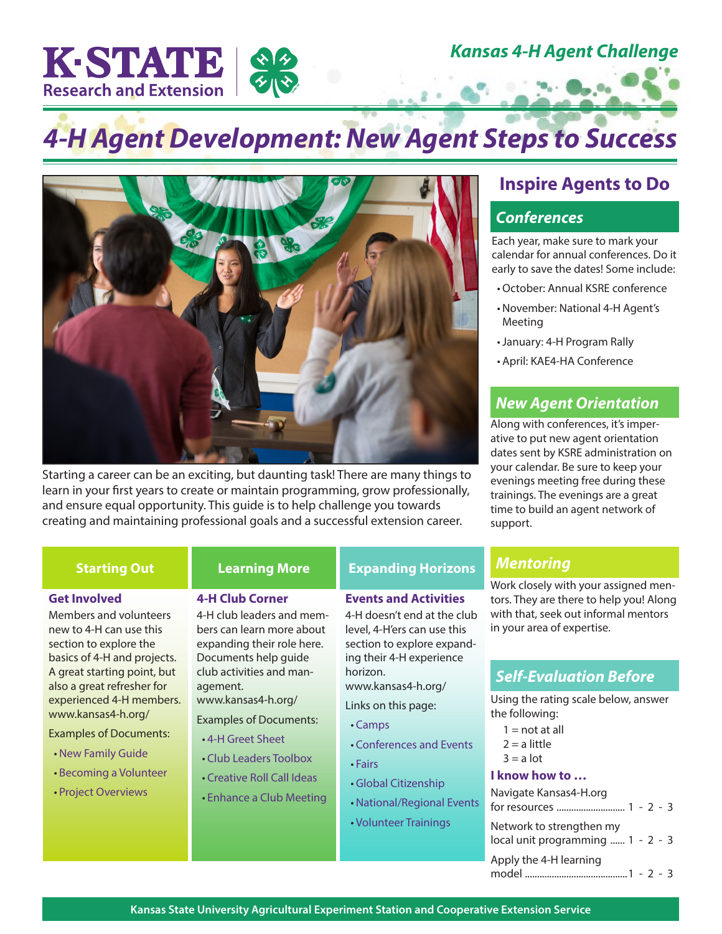*Kansas 4-H Agent Challenge*

# *4-H Agent Development: New Agent Steps to Success*



Starting a career can be an exciting, but daunting task! There are many things to learn in your first years to create or maintain programming, grow professionally, and ensure equal opportunity. This guide is to help challenge you towards creating and maintaining professional goals and a successful extension career.

# **Inspire Agents to Do**

## *Conferences*

Each year, make sure to mark your calendar for annual conferences. Do it early to save the dates! Some include:

- •October: Annual KSRE conference
- November: National 4-H Agent's Meeting
- •January: 4-H Program Rally
- April: KAE4-HA Conference

## *New Agent Orientation*

Along with conferences, it's imperative to put new agent orientation dates sent by KSRE administration on your calendar. Be sure to keep your evenings meeting free during these trainings. The evenings are a great time to build an agent network of support.

K-STATE

**Research and Extension** 

# **Starting Out Learning More Expanding Horizons**

**Events and Activities** 4-H doesn't end at the club level, 4-H'ers can use this section to explore expanding their 4-H experience

www.kansas4-h.org/ Links on this page:

horizon.

• [Camps](https://www.kansas4-h.org/4-h-programs/camp/index.html)

• [Fairs](https://www.kansas4-h.org/events-activities/)

### **Get Involved**

Members and volunteers new to 4-H can use this section to explore the basics of 4-H and projects. A great starting point, but also a great refresher for experienced 4-H members. www.kansas4-h.org/

#### Examples of Documents:

- [New Family Guide](https://www.kansas4-h.org/4-h-programs/docs/4-HNewFamilyGuide.pdf)
- [Becoming a Volunteer](https://www.kansas4-h.org/volunteers/index.html)
- [Project Overviews](https://www.kansas4-h.org/projects/)

# **4-H Club Corner**

### 4-H club leaders and members can learn more about expanding their role here. Documents help guide club activities and management. www.kansas4-h.org/

Examples of Documents:

- [4-H Greet Sheet](https://bookstore.ksre.ksu.edu/Item.aspx?catId=261&pubId=23003)
- [Club Leaders Toolbox](https://bookstore.ksre.ksu.edu/Item.aspx?catId=261&pubId=23005)
- [Creative Roll Call Ideas](https://bookstore.ksre.ksu.edu/Item.aspx?catId=261&pubId=23002)
- [Enhance a Club Meeting](https://bookstore.ksre.ksu.edu/Item.aspx?catId=261&pubId=22999) • [Global Citizenship](https://www.kansas4-h.org/events-activities/global-citizenship/index.html) • [National/Regional Events](https://www.kansas4-h.org/events-activities/)
	- [Volunteer Trainings](https://www.kansas4-h.org/volunteers/index.html)

• [Conferences and Events](https://www.kansas4-h.org/events-activities/)

# *Mentoring*

Work closely with your assigned mentors. They are there to help you! Along with that, seek out informal mentors in your area of expertise.

# *Self-Evaluation Before*

Using the rating scale below, answer the following:

- $1 = not at all$
- $2 = a$  little
- $3 = a$  lot

### **I know how to …**

| Navigate Kansas4-H.org                                        |
|---------------------------------------------------------------|
| Network to strengthen my<br>local unit programming  1 - 2 - 3 |
| Apply the 4-H learning                                        |